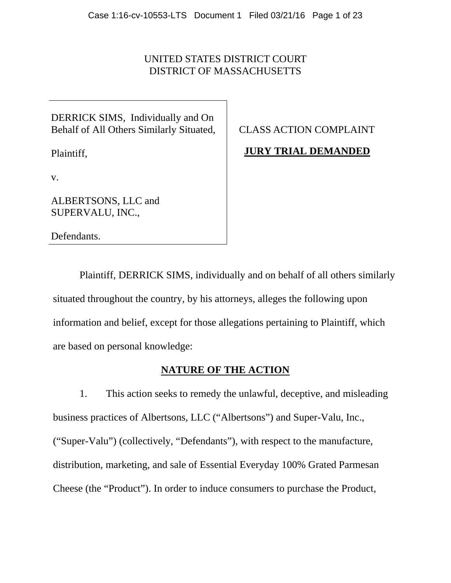# UNITED STATES DISTRICT COURT DISTRICT OF MASSACHUSETTS

DERRICK SIMS, Individually and On Behalf of All Others Similarly Situated,

Plaintiff,

CLASS ACTION COMPLAINT

**JURY TRIAL DEMANDED** 

v.

ALBERTSONS, LLC and SUPERVALU, INC.,

Defendants.

Plaintiff, DERRICK SIMS, individually and on behalf of all others similarly situated throughout the country, by his attorneys, alleges the following upon information and belief, except for those allegations pertaining to Plaintiff, which are based on personal knowledge:

# **NATURE OF THE ACTION**

1. This action seeks to remedy the unlawful, deceptive, and misleading business practices of Albertsons, LLC ("Albertsons") and Super-Valu, Inc., ("Super-Valu") (collectively, "Defendants"), with respect to the manufacture, distribution, marketing, and sale of Essential Everyday 100% Grated Parmesan Cheese (the "Product"). In order to induce consumers to purchase the Product,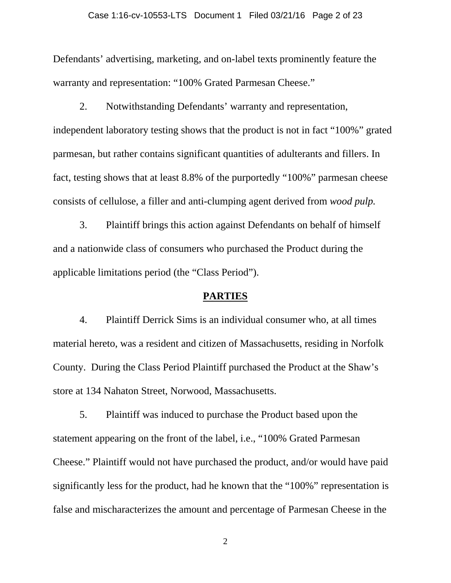### Case 1:16-cv-10553-LTS Document 1 Filed 03/21/16 Page 2 of 23

Defendants' advertising, marketing, and on-label texts prominently feature the warranty and representation: "100% Grated Parmesan Cheese."

2. Notwithstanding Defendants' warranty and representation, independent laboratory testing shows that the product is not in fact "100%" grated parmesan, but rather contains significant quantities of adulterants and fillers. In fact, testing shows that at least 8.8% of the purportedly "100%" parmesan cheese consists of cellulose, a filler and anti-clumping agent derived from *wood pulp.*

3. Plaintiff brings this action against Defendants on behalf of himself and a nationwide class of consumers who purchased the Product during the applicable limitations period (the "Class Period").

### **PARTIES**

4. Plaintiff Derrick Sims is an individual consumer who, at all times material hereto, was a resident and citizen of Massachusetts, residing in Norfolk County. During the Class Period Plaintiff purchased the Product at the Shaw's store at 134 Nahaton Street, Norwood, Massachusetts.

5. Plaintiff was induced to purchase the Product based upon the statement appearing on the front of the label, i.e., "100% Grated Parmesan Cheese." Plaintiff would not have purchased the product, and/or would have paid significantly less for the product, had he known that the "100%" representation is false and mischaracterizes the amount and percentage of Parmesan Cheese in the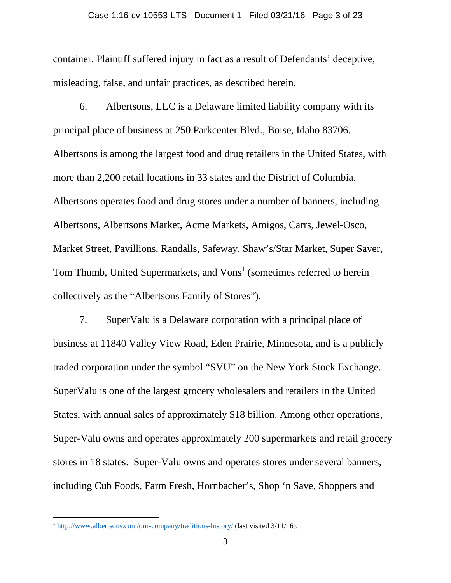#### Case 1:16-cv-10553-LTS Document 1 Filed 03/21/16 Page 3 of 23

container. Plaintiff suffered injury in fact as a result of Defendants' deceptive, misleading, false, and unfair practices, as described herein.

6. Albertsons, LLC is a Delaware limited liability company with its principal place of business at 250 Parkcenter Blvd., Boise, Idaho 83706. Albertsons is among the largest food and drug retailers in the United States, with more than 2,200 retail locations in 33 states and the District of Columbia. Albertsons operates food and drug stores under a number of banners, including Albertsons, Albertsons Market, Acme Markets, Amigos, Carrs, Jewel-Osco, Market Street, Pavillions, Randalls, Safeway, Shaw's/Star Market, Super Saver, Tom Thumb, United Supermarkets, and Vons<sup>1</sup> (sometimes referred to herein collectively as the "Albertsons Family of Stores").

7. SuperValu is a Delaware corporation with a principal place of business at 11840 Valley View Road, Eden Prairie, Minnesota, and is a publicly traded corporation under the symbol "SVU" on the New York Stock Exchange. SuperValu is one of the largest grocery wholesalers and retailers in the United States, with annual sales of approximately \$18 billion. Among other operations, Super-Valu owns and operates approximately 200 supermarkets and retail grocery stores in 18 states. Super-Valu owns and operates stores under several banners, including Cub Foods, Farm Fresh, Hornbacher's, Shop 'n Save, Shoppers and

 $\overline{a}$ 

<sup>1</sup> http://www.albertsons.com/our-company/traditions-history/ (last visited 3/11/16).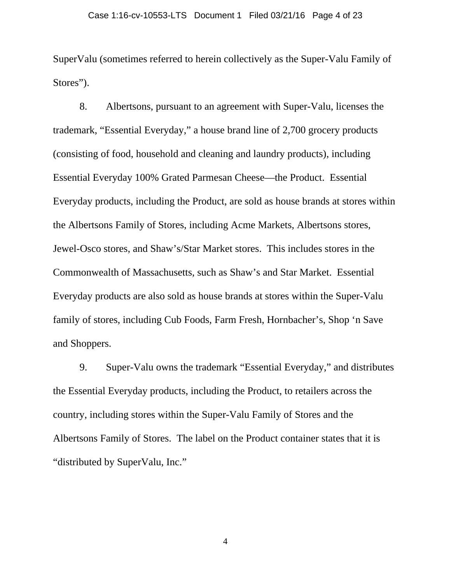SuperValu (sometimes referred to herein collectively as the Super-Valu Family of Stores").

8. Albertsons, pursuant to an agreement with Super-Valu, licenses the trademark, "Essential Everyday," a house brand line of 2,700 grocery products (consisting of food, household and cleaning and laundry products), including Essential Everyday 100% Grated Parmesan Cheese—the Product. Essential Everyday products, including the Product, are sold as house brands at stores within the Albertsons Family of Stores, including Acme Markets, Albertsons stores, Jewel-Osco stores, and Shaw's/Star Market stores. This includes stores in the Commonwealth of Massachusetts, such as Shaw's and Star Market. Essential Everyday products are also sold as house brands at stores within the Super-Valu family of stores, including Cub Foods, Farm Fresh, Hornbacher's, Shop 'n Save and Shoppers.

9. Super-Valu owns the trademark "Essential Everyday," and distributes the Essential Everyday products, including the Product, to retailers across the country, including stores within the Super-Valu Family of Stores and the Albertsons Family of Stores. The label on the Product container states that it is "distributed by SuperValu, Inc."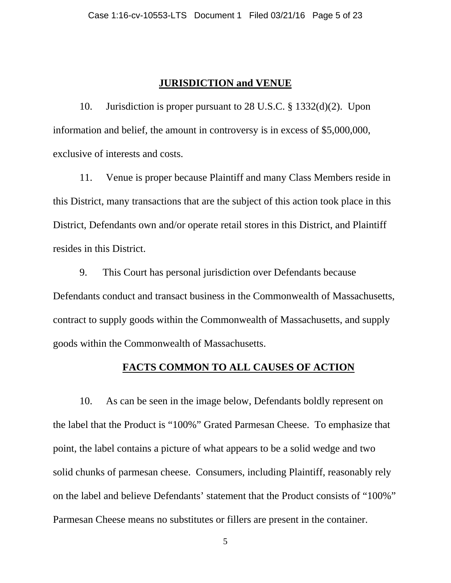### **JURISDICTION and VENUE**

10. Jurisdiction is proper pursuant to 28 U.S.C. § 1332(d)(2). Upon information and belief, the amount in controversy is in excess of \$5,000,000, exclusive of interests and costs.

11. Venue is proper because Plaintiff and many Class Members reside in this District, many transactions that are the subject of this action took place in this District, Defendants own and/or operate retail stores in this District, and Plaintiff resides in this District.

9. This Court has personal jurisdiction over Defendants because Defendants conduct and transact business in the Commonwealth of Massachusetts, contract to supply goods within the Commonwealth of Massachusetts, and supply goods within the Commonwealth of Massachusetts.

### **FACTS COMMON TO ALL CAUSES OF ACTION**

10. As can be seen in the image below, Defendants boldly represent on the label that the Product is "100%" Grated Parmesan Cheese. To emphasize that point, the label contains a picture of what appears to be a solid wedge and two solid chunks of parmesan cheese. Consumers, including Plaintiff, reasonably rely on the label and believe Defendants' statement that the Product consists of "100%" Parmesan Cheese means no substitutes or fillers are present in the container.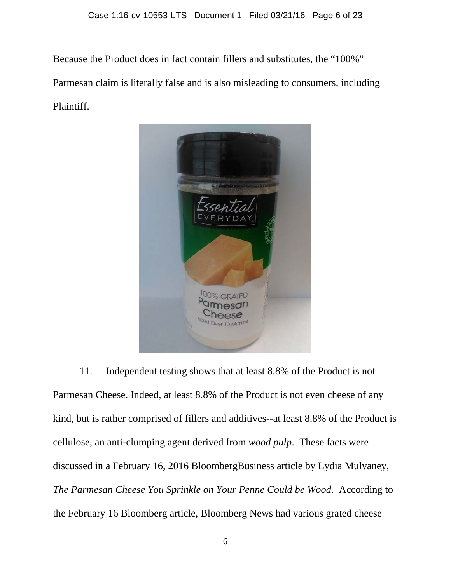Because the Product does in fact contain fillers and substitutes, the "100%" Parmesan claim is literally false and is also misleading to consumers, including Plaintiff.



11. Independent testing shows that at least 8.8% of the Product is not Parmesan Cheese. Indeed, at least 8.8% of the Product is not even cheese of any kind, but is rather comprised of fillers and additives--at least 8.8% of the Product is cellulose, an anti-clumping agent derived from *wood pulp*. These facts were discussed in a February 16, 2016 BloombergBusiness article by Lydia Mulvaney, *The Parmesan Cheese You Sprinkle on Your Penne Could be Wood*. According to the February 16 Bloomberg article, Bloomberg News had various grated cheese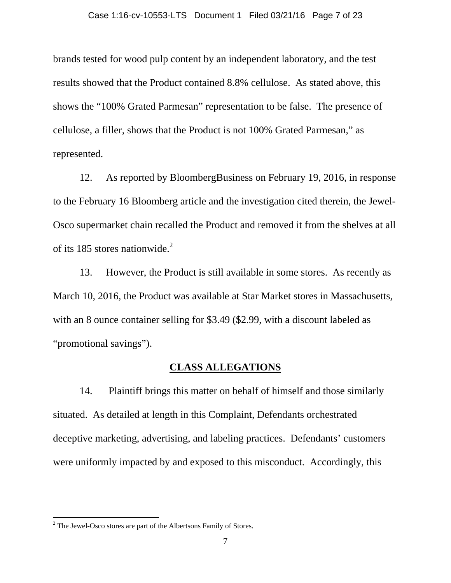brands tested for wood pulp content by an independent laboratory, and the test results showed that the Product contained 8.8% cellulose. As stated above, this shows the "100% Grated Parmesan" representation to be false. The presence of cellulose, a filler, shows that the Product is not 100% Grated Parmesan," as represented.

12. As reported by BloombergBusiness on February 19, 2016, in response to the February 16 Bloomberg article and the investigation cited therein, the Jewel-Osco supermarket chain recalled the Product and removed it from the shelves at all of its 185 stores nationwide. $2$ 

13. However, the Product is still available in some stores. As recently as March 10, 2016, the Product was available at Star Market stores in Massachusetts, with an 8 ounce container selling for \$3.49 (\$2.99, with a discount labeled as "promotional savings").

## **CLASS ALLEGATIONS**

14. Plaintiff brings this matter on behalf of himself and those similarly situated. As detailed at length in this Complaint, Defendants orchestrated deceptive marketing, advertising, and labeling practices. Defendants' customers were uniformly impacted by and exposed to this misconduct. Accordingly, this

 $\overline{a}$ 

 $2^2$  The Jewel-Osco stores are part of the Albertsons Family of Stores.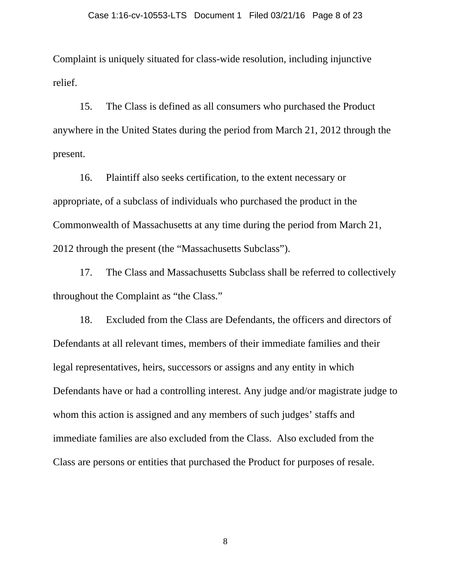Complaint is uniquely situated for class-wide resolution, including injunctive relief.

15. The Class is defined as all consumers who purchased the Product anywhere in the United States during the period from March 21, 2012 through the present.

16. Plaintiff also seeks certification, to the extent necessary or appropriate, of a subclass of individuals who purchased the product in the Commonwealth of Massachusetts at any time during the period from March 21, 2012 through the present (the "Massachusetts Subclass").

17. The Class and Massachusetts Subclass shall be referred to collectively throughout the Complaint as "the Class."

18. Excluded from the Class are Defendants, the officers and directors of Defendants at all relevant times, members of their immediate families and their legal representatives, heirs, successors or assigns and any entity in which Defendants have or had a controlling interest. Any judge and/or magistrate judge to whom this action is assigned and any members of such judges' staffs and immediate families are also excluded from the Class. Also excluded from the Class are persons or entities that purchased the Product for purposes of resale.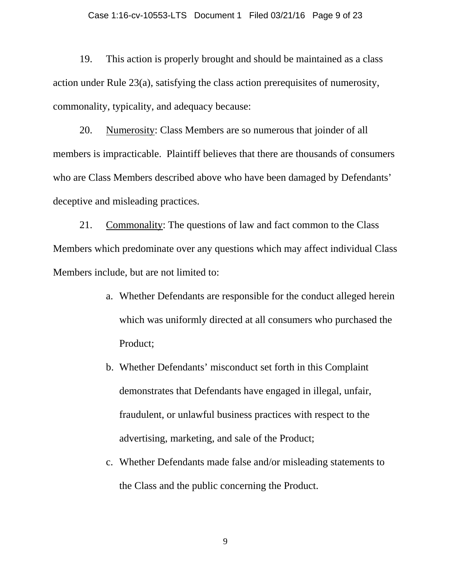#### Case 1:16-cv-10553-LTS Document 1 Filed 03/21/16 Page 9 of 23

19. This action is properly brought and should be maintained as a class action under Rule 23(a), satisfying the class action prerequisites of numerosity, commonality, typicality, and adequacy because:

20. Numerosity: Class Members are so numerous that joinder of all members is impracticable. Plaintiff believes that there are thousands of consumers who are Class Members described above who have been damaged by Defendants' deceptive and misleading practices.

21. Commonality: The questions of law and fact common to the Class Members which predominate over any questions which may affect individual Class Members include, but are not limited to:

- a. Whether Defendants are responsible for the conduct alleged herein which was uniformly directed at all consumers who purchased the Product;
- b. Whether Defendants' misconduct set forth in this Complaint demonstrates that Defendants have engaged in illegal, unfair, fraudulent, or unlawful business practices with respect to the advertising, marketing, and sale of the Product;
- c. Whether Defendants made false and/or misleading statements to the Class and the public concerning the Product.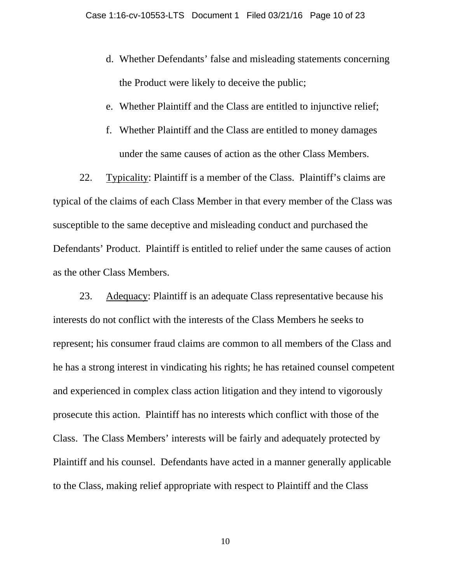- d. Whether Defendants' false and misleading statements concerning the Product were likely to deceive the public;
- e. Whether Plaintiff and the Class are entitled to injunctive relief;
- f. Whether Plaintiff and the Class are entitled to money damages under the same causes of action as the other Class Members.

22. Typicality: Plaintiff is a member of the Class. Plaintiff's claims are typical of the claims of each Class Member in that every member of the Class was susceptible to the same deceptive and misleading conduct and purchased the Defendants' Product. Plaintiff is entitled to relief under the same causes of action as the other Class Members.

23. Adequacy: Plaintiff is an adequate Class representative because his interests do not conflict with the interests of the Class Members he seeks to represent; his consumer fraud claims are common to all members of the Class and he has a strong interest in vindicating his rights; he has retained counsel competent and experienced in complex class action litigation and they intend to vigorously prosecute this action. Plaintiff has no interests which conflict with those of the Class. The Class Members' interests will be fairly and adequately protected by Plaintiff and his counsel. Defendants have acted in a manner generally applicable to the Class, making relief appropriate with respect to Plaintiff and the Class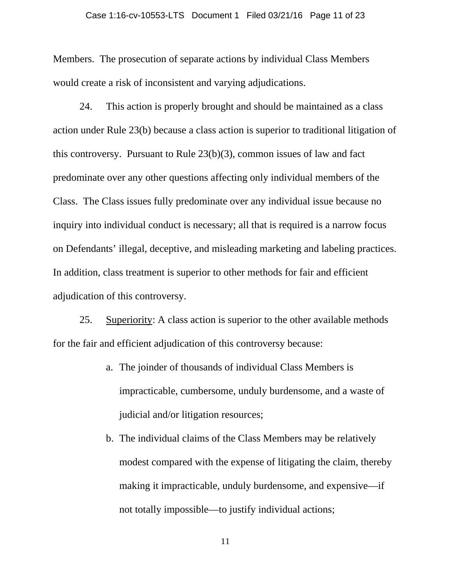#### Case 1:16-cv-10553-LTS Document 1 Filed 03/21/16 Page 11 of 23

Members. The prosecution of separate actions by individual Class Members would create a risk of inconsistent and varying adjudications.

24. This action is properly brought and should be maintained as a class action under Rule 23(b) because a class action is superior to traditional litigation of this controversy. Pursuant to Rule 23(b)(3), common issues of law and fact predominate over any other questions affecting only individual members of the Class. The Class issues fully predominate over any individual issue because no inquiry into individual conduct is necessary; all that is required is a narrow focus on Defendants' illegal, deceptive, and misleading marketing and labeling practices. In addition, class treatment is superior to other methods for fair and efficient adjudication of this controversy.

25. Superiority: A class action is superior to the other available methods for the fair and efficient adjudication of this controversy because:

- a. The joinder of thousands of individual Class Members is impracticable, cumbersome, unduly burdensome, and a waste of judicial and/or litigation resources;
- b. The individual claims of the Class Members may be relatively modest compared with the expense of litigating the claim, thereby making it impracticable, unduly burdensome, and expensive—if not totally impossible—to justify individual actions;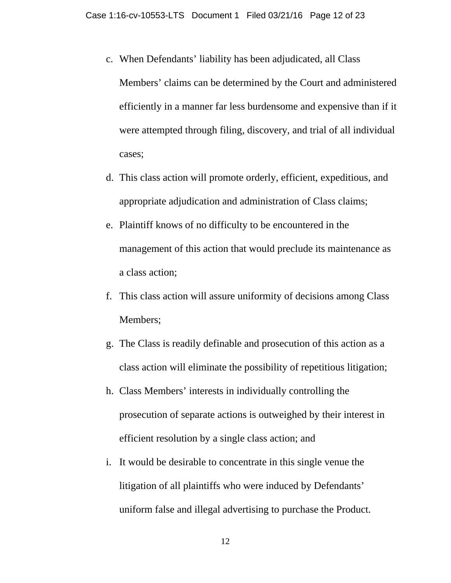- c. When Defendants' liability has been adjudicated, all Class Members' claims can be determined by the Court and administered efficiently in a manner far less burdensome and expensive than if it were attempted through filing, discovery, and trial of all individual cases;
- d. This class action will promote orderly, efficient, expeditious, and appropriate adjudication and administration of Class claims;
- e. Plaintiff knows of no difficulty to be encountered in the management of this action that would preclude its maintenance as a class action;
- f. This class action will assure uniformity of decisions among Class Members;
- g. The Class is readily definable and prosecution of this action as a class action will eliminate the possibility of repetitious litigation;
- h. Class Members' interests in individually controlling the prosecution of separate actions is outweighed by their interest in efficient resolution by a single class action; and
- i. It would be desirable to concentrate in this single venue the litigation of all plaintiffs who were induced by Defendants' uniform false and illegal advertising to purchase the Product.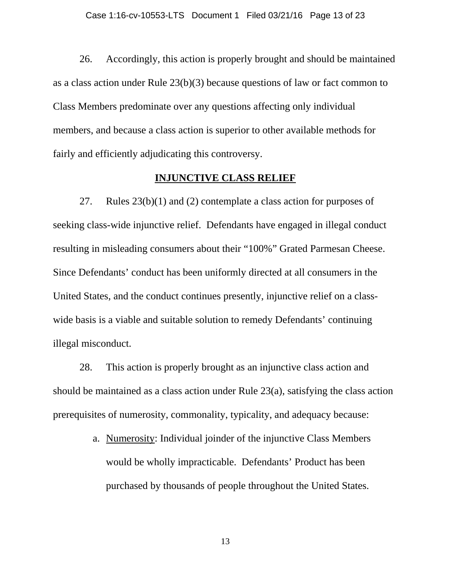26. Accordingly, this action is properly brought and should be maintained as a class action under Rule 23(b)(3) because questions of law or fact common to Class Members predominate over any questions affecting only individual members, and because a class action is superior to other available methods for fairly and efficiently adjudicating this controversy.

### **INJUNCTIVE CLASS RELIEF**

27. Rules 23(b)(1) and (2) contemplate a class action for purposes of seeking class-wide injunctive relief. Defendants have engaged in illegal conduct resulting in misleading consumers about their "100%" Grated Parmesan Cheese. Since Defendants' conduct has been uniformly directed at all consumers in the United States, and the conduct continues presently, injunctive relief on a classwide basis is a viable and suitable solution to remedy Defendants' continuing illegal misconduct.

28. This action is properly brought as an injunctive class action and should be maintained as a class action under Rule 23(a), satisfying the class action prerequisites of numerosity, commonality, typicality, and adequacy because:

> a. Numerosity: Individual joinder of the injunctive Class Members would be wholly impracticable. Defendants' Product has been purchased by thousands of people throughout the United States.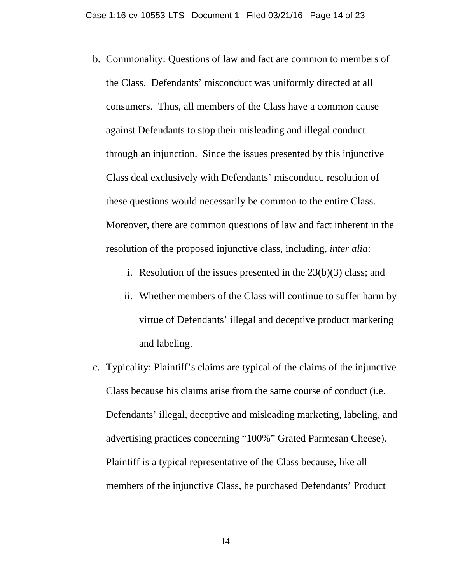- b. Commonality: Questions of law and fact are common to members of the Class. Defendants' misconduct was uniformly directed at all consumers. Thus, all members of the Class have a common cause against Defendants to stop their misleading and illegal conduct through an injunction. Since the issues presented by this injunctive Class deal exclusively with Defendants' misconduct, resolution of these questions would necessarily be common to the entire Class. Moreover, there are common questions of law and fact inherent in the resolution of the proposed injunctive class, including, *inter alia*:
	- i. Resolution of the issues presented in the 23(b)(3) class; and
	- ii. Whether members of the Class will continue to suffer harm by virtue of Defendants' illegal and deceptive product marketing and labeling.
- c. Typicality: Plaintiff's claims are typical of the claims of the injunctive Class because his claims arise from the same course of conduct (i.e. Defendants' illegal, deceptive and misleading marketing, labeling, and advertising practices concerning "100%" Grated Parmesan Cheese). Plaintiff is a typical representative of the Class because, like all members of the injunctive Class, he purchased Defendants' Product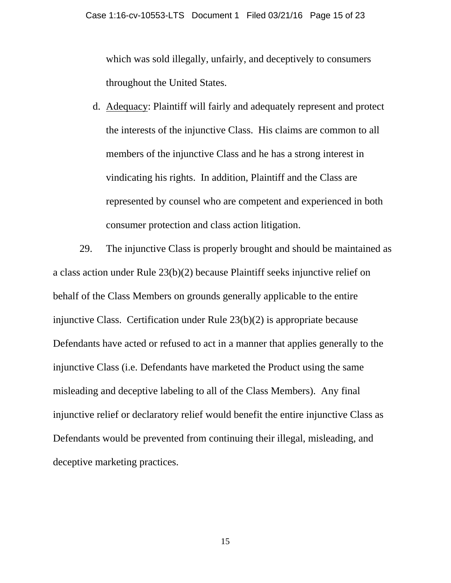which was sold illegally, unfairly, and deceptively to consumers throughout the United States.

d. Adequacy: Plaintiff will fairly and adequately represent and protect the interests of the injunctive Class. His claims are common to all members of the injunctive Class and he has a strong interest in vindicating his rights. In addition, Plaintiff and the Class are represented by counsel who are competent and experienced in both consumer protection and class action litigation.

29. The injunctive Class is properly brought and should be maintained as a class action under Rule 23(b)(2) because Plaintiff seeks injunctive relief on behalf of the Class Members on grounds generally applicable to the entire injunctive Class. Certification under Rule 23(b)(2) is appropriate because Defendants have acted or refused to act in a manner that applies generally to the injunctive Class (i.e. Defendants have marketed the Product using the same misleading and deceptive labeling to all of the Class Members). Any final injunctive relief or declaratory relief would benefit the entire injunctive Class as Defendants would be prevented from continuing their illegal, misleading, and deceptive marketing practices.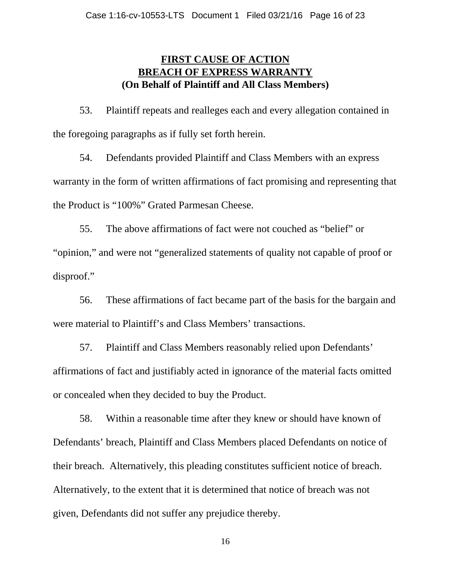# **FIRST CAUSE OF ACTION BREACH OF EXPRESS WARRANTY (On Behalf of Plaintiff and All Class Members)**

53. Plaintiff repeats and realleges each and every allegation contained in the foregoing paragraphs as if fully set forth herein.

54. Defendants provided Plaintiff and Class Members with an express warranty in the form of written affirmations of fact promising and representing that the Product is "100%" Grated Parmesan Cheese.

55. The above affirmations of fact were not couched as "belief" or "opinion," and were not "generalized statements of quality not capable of proof or disproof."

56. These affirmations of fact became part of the basis for the bargain and were material to Plaintiff's and Class Members' transactions.

57. Plaintiff and Class Members reasonably relied upon Defendants' affirmations of fact and justifiably acted in ignorance of the material facts omitted or concealed when they decided to buy the Product.

58. Within a reasonable time after they knew or should have known of Defendants' breach, Plaintiff and Class Members placed Defendants on notice of their breach. Alternatively, this pleading constitutes sufficient notice of breach. Alternatively, to the extent that it is determined that notice of breach was not given, Defendants did not suffer any prejudice thereby.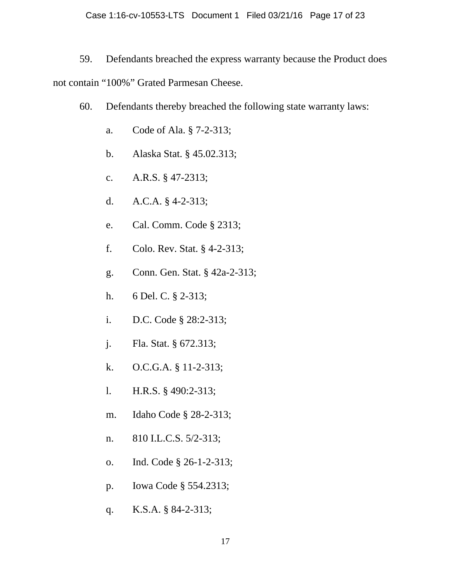59. Defendants breached the express warranty because the Product does not contain "100%" Grated Parmesan Cheese.

- 60. Defendants thereby breached the following state warranty laws:
	- a. Code of Ala. § 7-2-313;
	- b. Alaska Stat. § 45.02.313;
	- c. A.R.S. § 47-2313;
	- d. A.C.A. § 4-2-313;
	- e. Cal. Comm. Code § 2313;
	- f. Colo. Rev. Stat. § 4-2-313;
	- g. Conn. Gen. Stat. § 42a-2-313;
	- h. 6 Del. C. § 2-313;
	- i. D.C. Code § 28:2-313;
	- j. Fla. Stat. § 672.313;
	- k. O.C.G.A. § 11-2-313;
	- l. H.R.S. § 490:2-313;
	- m. Idaho Code § 28-2-313;
	- n. 810 I.L.C.S. 5/2-313;
	- o. Ind. Code § 26-1-2-313;
	- p. Iowa Code § 554.2313;
	- q. K.S.A. § 84-2-313;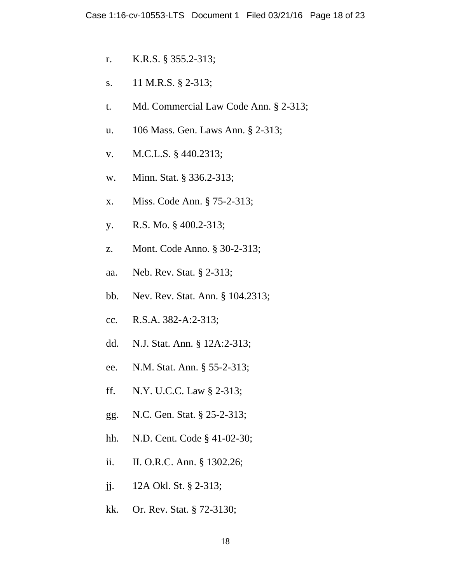- r. K.R.S. § 355.2-313;
- s. 11 M.R.S. § 2-313;
- t. Md. Commercial Law Code Ann. § 2-313;
- u. 106 Mass. Gen. Laws Ann. § 2-313;
- v. M.C.L.S. § 440.2313;
- w. Minn. Stat. § 336.2-313;
- x. Miss. Code Ann. § 75-2-313;
- y. R.S. Mo. § 400.2-313;
- z. Mont. Code Anno. § 30-2-313;
- aa. Neb. Rev. Stat. § 2-313;
- bb. Nev. Rev. Stat. Ann. § 104.2313;
- cc. R.S.A. 382-A:2-313;
- dd. N.J. Stat. Ann. § 12A:2-313;
- ee. N.M. Stat. Ann. § 55-2-313;
- ff. N.Y. U.C.C. Law § 2-313;
- gg. N.C. Gen. Stat. § 25-2-313;
- hh. N.D. Cent. Code § 41-02-30;
- ii. II. O.R.C. Ann. § 1302.26;
- jj. 12A Okl. St. § 2-313;
- kk. Or. Rev. Stat. § 72-3130;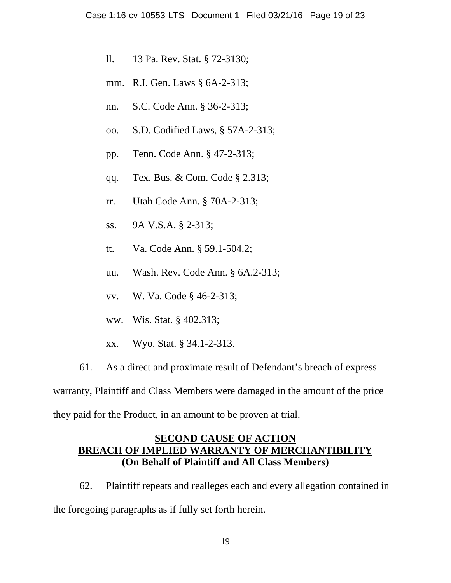- ll. 13 Pa. Rev. Stat. § 72-3130;
- mm. R.I. Gen. Laws § 6A-2-313;
- nn. S.C. Code Ann. § 36-2-313;
- oo. S.D. Codified Laws, § 57A-2-313;
- pp. Tenn. Code Ann. § 47-2-313;
- qq. Tex. Bus. & Com. Code § 2.313;
- rr. Utah Code Ann. § 70A-2-313;
- ss. 9A V.S.A. § 2-313;
- tt. Va. Code Ann. § 59.1-504.2;
- uu. Wash. Rev. Code Ann. § 6A.2-313;
- vv. W. Va. Code § 46-2-313;
- ww. Wis. Stat. § 402.313;
- xx. Wyo. Stat. § 34.1-2-313.
- 61. As a direct and proximate result of Defendant's breach of express

warranty, Plaintiff and Class Members were damaged in the amount of the price they paid for the Product, in an amount to be proven at trial.

## **SECOND CAUSE OF ACTION BREACH OF IMPLIED WARRANTY OF MERCHANTIBILITY (On Behalf of Plaintiff and All Class Members)**

62. Plaintiff repeats and realleges each and every allegation contained in the foregoing paragraphs as if fully set forth herein.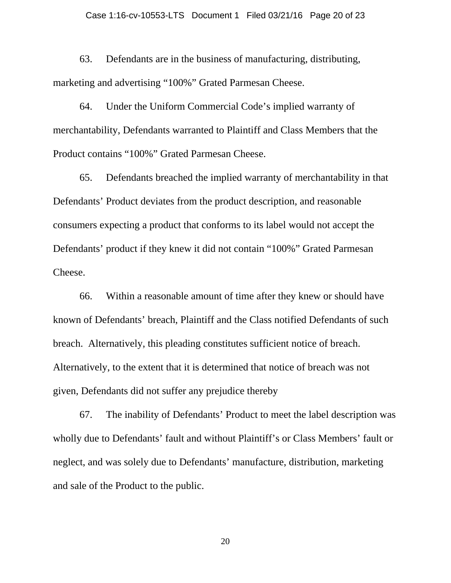63. Defendants are in the business of manufacturing, distributing, marketing and advertising "100%" Grated Parmesan Cheese.

64. Under the Uniform Commercial Code's implied warranty of merchantability, Defendants warranted to Plaintiff and Class Members that the Product contains "100%" Grated Parmesan Cheese.

65. Defendants breached the implied warranty of merchantability in that Defendants' Product deviates from the product description, and reasonable consumers expecting a product that conforms to its label would not accept the Defendants' product if they knew it did not contain "100%" Grated Parmesan Cheese.

66. Within a reasonable amount of time after they knew or should have known of Defendants' breach, Plaintiff and the Class notified Defendants of such breach. Alternatively, this pleading constitutes sufficient notice of breach. Alternatively, to the extent that it is determined that notice of breach was not given, Defendants did not suffer any prejudice thereby

67. The inability of Defendants' Product to meet the label description was wholly due to Defendants' fault and without Plaintiff's or Class Members' fault or neglect, and was solely due to Defendants' manufacture, distribution, marketing and sale of the Product to the public.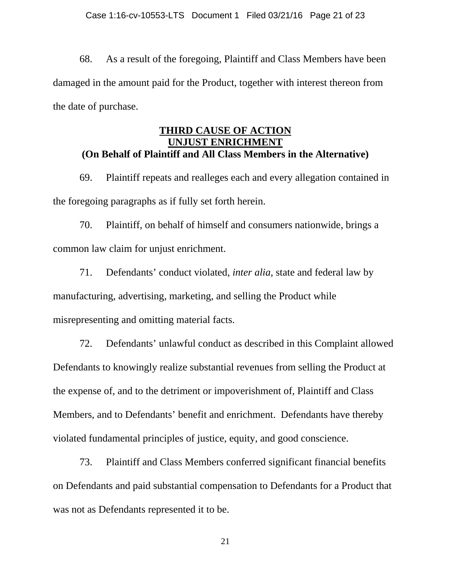68. As a result of the foregoing, Plaintiff and Class Members have been damaged in the amount paid for the Product, together with interest thereon from the date of purchase.

## **THIRD CAUSE OF ACTION UNJUST ENRICHMENT (On Behalf of Plaintiff and All Class Members in the Alternative)**

69. Plaintiff repeats and realleges each and every allegation contained in the foregoing paragraphs as if fully set forth herein.

70. Plaintiff, on behalf of himself and consumers nationwide, brings a common law claim for unjust enrichment.

71. Defendants' conduct violated, *inter alia*, state and federal law by manufacturing, advertising, marketing, and selling the Product while misrepresenting and omitting material facts.

72. Defendants' unlawful conduct as described in this Complaint allowed Defendants to knowingly realize substantial revenues from selling the Product at the expense of, and to the detriment or impoverishment of, Plaintiff and Class Members, and to Defendants' benefit and enrichment. Defendants have thereby violated fundamental principles of justice, equity, and good conscience.

73. Plaintiff and Class Members conferred significant financial benefits on Defendants and paid substantial compensation to Defendants for a Product that was not as Defendants represented it to be.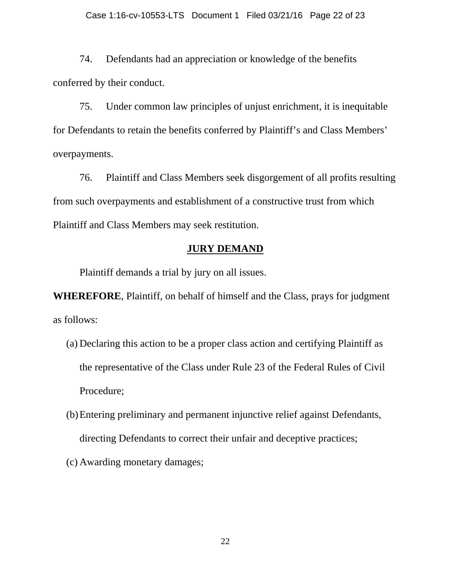74. Defendants had an appreciation or knowledge of the benefits conferred by their conduct.

75. Under common law principles of unjust enrichment, it is inequitable for Defendants to retain the benefits conferred by Plaintiff's and Class Members' overpayments.

76. Plaintiff and Class Members seek disgorgement of all profits resulting from such overpayments and establishment of a constructive trust from which Plaintiff and Class Members may seek restitution.

### **JURY DEMAND**

Plaintiff demands a trial by jury on all issues.

**WHEREFORE**, Plaintiff, on behalf of himself and the Class, prays for judgment as follows:

- (a) Declaring this action to be a proper class action and certifying Plaintiff as the representative of the Class under Rule 23 of the Federal Rules of Civil Procedure;
- (b)Entering preliminary and permanent injunctive relief against Defendants, directing Defendants to correct their unfair and deceptive practices;
- (c) Awarding monetary damages;